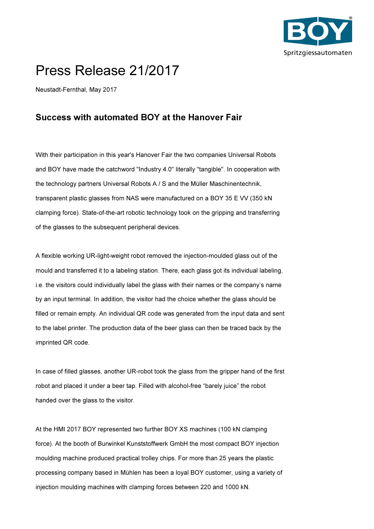

## Press Release 21/2017

Neustadt-Fernthal, May 2017

## Success with automated BOY at the Hanover Fair

With their participation in this year's Hanover Fair the two companies Universal Robots and BOY have made the catchword "Industry 4.0" literally "tangible". In cooperation with the technology partners Universal Robots A / S and the Müller Maschinentechnik, transparent plastic glasses from NAS were manufactured on a BOY 35 E VV (350 kN clamping force). State-of-the-art robotic technology took on the gripping and transferring of the glasses to the subsequent peripheral devices.

A flexible working UR-light-weight robot removed the injection-moulded glass out of the mould and transferred it to a labeling station. There, each glass got its individual labeling, i.e. the visitors could individually label the glass with their names or the company's name by an input terminal. In addition, the visitor had the choice whether the glass should be filled or remain empty. An individual QR code was generated from the input data and sent to the label printer. The production data of the beer glass can then be traced back by the imprinted QR code.

In case of filled glasses, another UR-robot took the glass from the gripper hand of the first robot and placed it under a beer tap. Filled with alcohol-free "barely juice" the robot handed over the glass to the visitor.

At the HMI 2017 BOY represented two further BOY XS machines (100 kN clamping force). At the booth of Burwinkel Kunststoffwerk GmbH the most compact BOY injection moulding machine produced practical trolley chips. For more than 25 years the plastic processing company based in Mühlen has been a loyal BOY customer, using a variety of injection moulding machines with clamping forces between 220 and 1000 kN.